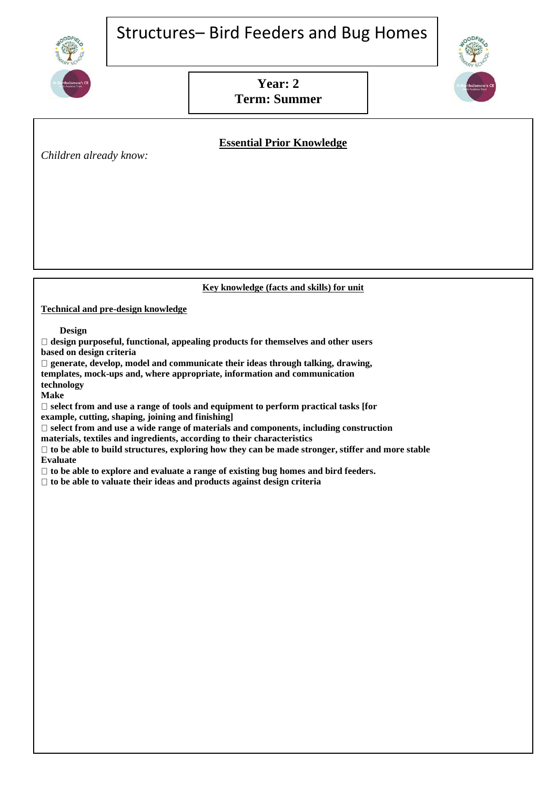# Structures– Bird Feeders and Bug Homes







# **Essential Prior Knowledge**

*Children already know:*

### **Key knowledge (facts and skills) for unit**

**Technical and pre-design knowledge**

 **Design**

**design purposeful, functional, appealing products for themselves and other users based on design criteria**

**generate, develop, model and communicate their ideas through talking, drawing, templates, mock-ups and, where appropriate, information and communication technology**

**Make**

**select from and use a range of tools and equipment to perform practical tasks [for example, cutting, shaping, joining and finishing]**

**select from and use a wide range of materials and components, including construction materials, textiles and ingredients, according to their characteristics**

**to be able to build structures, exploring how they can be made stronger, stiffer and more stable Evaluate**

**to be able to explore and evaluate a range of existing bug homes and bird feeders.**

**to be able to valuate their ideas and products against design criteria**